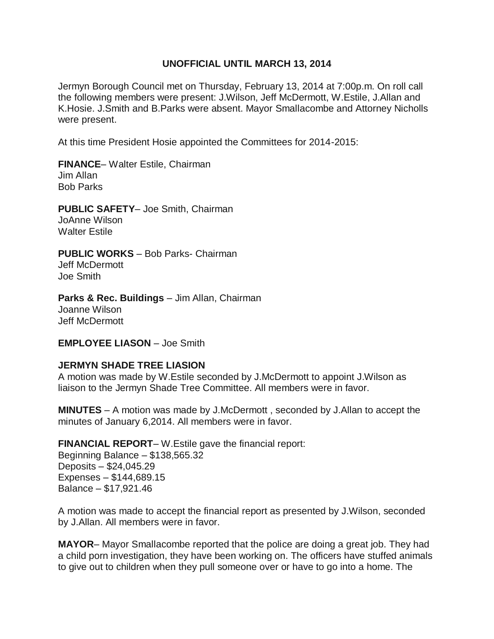## **UNOFFICIAL UNTIL MARCH 13, 2014**

Jermyn Borough Council met on Thursday, February 13, 2014 at 7:00p.m. On roll call the following members were present: J.Wilson, Jeff McDermott, W.Estile, J.Allan and K.Hosie. J.Smith and B.Parks were absent. Mayor Smallacombe and Attorney Nicholls were present.

At this time President Hosie appointed the Committees for 2014-2015:

**FINANCE**– Walter Estile, Chairman Jim Allan Bob Parks

**PUBLIC SAFETY**– Joe Smith, Chairman JoAnne Wilson Walter Estile

**PUBLIC WORKS** – Bob Parks- Chairman Jeff McDermott Joe Smith

**Parks & Rec. Buildings** – Jim Allan, Chairman Joanne Wilson Jeff McDermott

**EMPLOYEE LIASON** – Joe Smith

## **JERMYN SHADE TREE LIASION**

A motion was made by W.Estile seconded by J.McDermott to appoint J.Wilson as liaison to the Jermyn Shade Tree Committee. All members were in favor.

**MINUTES** – A motion was made by J.McDermott , seconded by J.Allan to accept the minutes of January 6,2014. All members were in favor.

**FINANCIAL REPORT**– W.Estile gave the financial report: Beginning Balance – \$138,565.32 Deposits – \$24,045.29 Expenses – \$144,689.15 Balance – \$17,921.46

A motion was made to accept the financial report as presented by J.Wilson, seconded by J.Allan. All members were in favor.

**MAYOR**– Mayor Smallacombe reported that the police are doing a great job. They had a child porn investigation, they have been working on. The officers have stuffed animals to give out to children when they pull someone over or have to go into a home. The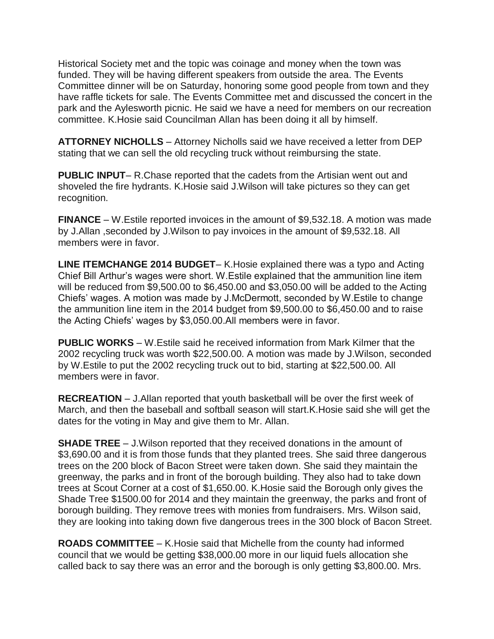Historical Society met and the topic was coinage and money when the town was funded. They will be having different speakers from outside the area. The Events Committee dinner will be on Saturday, honoring some good people from town and they have raffle tickets for sale. The Events Committee met and discussed the concert in the park and the Aylesworth picnic. He said we have a need for members on our recreation committee. K.Hosie said Councilman Allan has been doing it all by himself.

**ATTORNEY NICHOLLS** – Attorney Nicholls said we have received a letter from DEP stating that we can sell the old recycling truck without reimbursing the state.

**PUBLIC INPUT**– R.Chase reported that the cadets from the Artisian went out and shoveled the fire hydrants. K.Hosie said J.Wilson will take pictures so they can get recognition.

**FINANCE** – W.Estile reported invoices in the amount of \$9,532.18. A motion was made by J.Allan ,seconded by J.Wilson to pay invoices in the amount of \$9,532.18. All members were in favor.

**LINE ITEMCHANGE 2014 BUDGET**– K.Hosie explained there was a typo and Acting Chief Bill Arthur's wages were short. W.Estile explained that the ammunition line item will be reduced from \$9,500.00 to \$6,450.00 and \$3,050.00 will be added to the Acting Chiefs' wages. A motion was made by J.McDermott, seconded by W.Estile to change the ammunition line item in the 2014 budget from \$9,500.00 to \$6,450.00 and to raise the Acting Chiefs' wages by \$3,050.00.All members were in favor.

**PUBLIC WORKS** – W.Estile said he received information from Mark Kilmer that the 2002 recycling truck was worth \$22,500.00. A motion was made by J.Wilson, seconded by W.Estile to put the 2002 recycling truck out to bid, starting at \$22,500.00. All members were in favor.

**RECREATION** – J.Allan reported that youth basketball will be over the first week of March, and then the baseball and softball season will start.K.Hosie said she will get the dates for the voting in May and give them to Mr. Allan.

**SHADE TREE** – J.Wilson reported that they received donations in the amount of \$3,690.00 and it is from those funds that they planted trees. She said three dangerous trees on the 200 block of Bacon Street were taken down. She said they maintain the greenway, the parks and in front of the borough building. They also had to take down trees at Scout Corner at a cost of \$1,650.00. K.Hosie said the Borough only gives the Shade Tree \$1500.00 for 2014 and they maintain the greenway, the parks and front of borough building. They remove trees with monies from fundraisers. Mrs. Wilson said, they are looking into taking down five dangerous trees in the 300 block of Bacon Street.

**ROADS COMMITTEE** – K.Hosie said that Michelle from the county had informed council that we would be getting \$38,000.00 more in our liquid fuels allocation she called back to say there was an error and the borough is only getting \$3,800.00. Mrs.